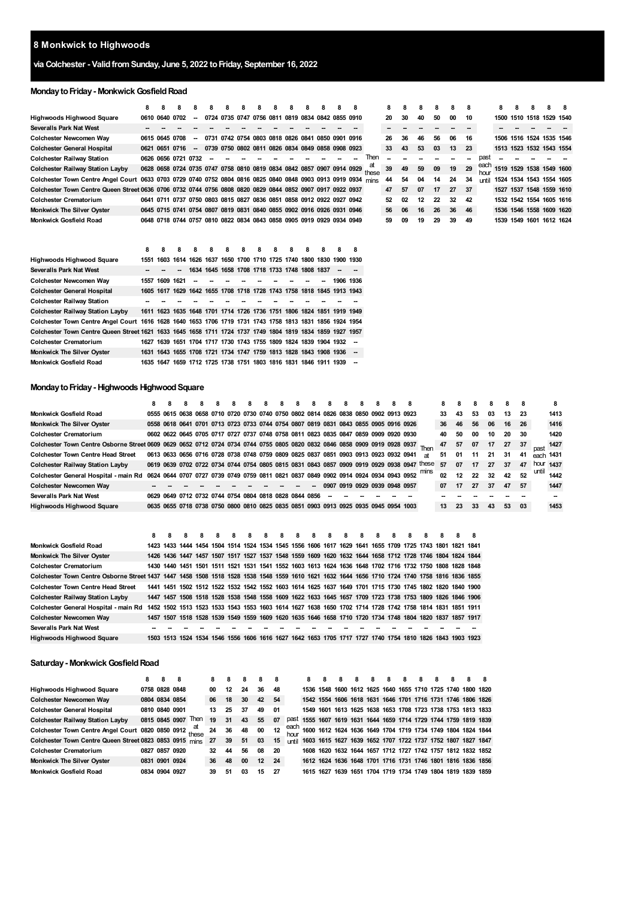# **Monkwick to Highwoods**

## **via Colchester - ValidfromSunday, June 5, 2022 toFriday, September 16, 2022**

## **Monday to Friday - Monkwick Gosfield Road**

|                                                                                                               | 8    | 8              | я                   |        |                                                                       |                                                   |  |  |  |                          |       | 8                        | я  |    | 8  | я  | 8                        |              | 8    | 8 | Я | 8                        | я |
|---------------------------------------------------------------------------------------------------------------|------|----------------|---------------------|--------|-----------------------------------------------------------------------|---------------------------------------------------|--|--|--|--------------------------|-------|--------------------------|----|----|----|----|--------------------------|--------------|------|---|---|--------------------------|---|
| Highwoods Highwood Square                                                                                     |      | 0610 0640 0702 |                     |        |                                                                       | 0724 0735 0747 0756 0811 0819 0834 0842 0855 0910 |  |  |  |                          |       | 20                       | 30 | 40 | 50 | 00 | 10                       |              |      |   |   | 1500 1510 1518 1529 1540 |   |
| <b>Severalls Park Nat West</b>                                                                                |      |                |                     |        |                                                                       |                                                   |  |  |  |                          |       | $\overline{\phantom{a}}$ |    |    |    |    | $\overline{\phantom{a}}$ |              |      |   |   |                          |   |
| Colchester Newcomen Way                                                                                       |      |                | 0615 0645 0708      |        |                                                                       | 0731 0742 0754 0803 0818 0826 0841 0850 0901 0916 |  |  |  |                          |       | 26                       | 36 | 46 | 56 | 06 | 16                       |              | 1506 |   |   | 1516 1524 1535 1546      |   |
| <b>Colchester General Hospital</b>                                                                            |      |                | 0621 0651 0716      | $\sim$ |                                                                       | 0739 0750 0802 0811 0826 0834 0849 0858 0908 0923 |  |  |  |                          |       | 33                       | 43 | 53 | 03 | 13 | 23                       |              |      |   |   | 1513 1523 1532 1543 1554 |   |
| <b>Colchester Railway Station</b>                                                                             |      |                | 0626 0656 0721 0732 |        |                                                                       |                                                   |  |  |  |                          | Then  |                          |    |    |    |    |                          | past         |      |   |   |                          |   |
| <b>Colchester Railway Station Layby</b>                                                                       |      |                |                     |        | 0628 0658 0724 0735 0747 0758 0810 0819 0834 0842 0857 0907 0914 0929 |                                                   |  |  |  |                          | these | 39                       | 49 | 59 | 09 | 19 | 29                       | each<br>hour |      |   |   | 1519 1529 1538 1549 1600 |   |
| Colchester Town Centre Angel Court 0633 0703 0729 0740 0752 0804 0816 0825 0840 0848 0903 0913 0919 0934 mins |      |                |                     |        |                                                                       |                                                   |  |  |  |                          |       | 44                       | 54 | 04 | 14 | 24 | 34                       | until        |      |   |   | 1524 1534 1543 1554 1605 |   |
| Colchester Town Centre Queen Street 0636 0706 0732 0744 0756 0808 0820 0829 0844 0852 0907 0917 0922 0937     |      |                |                     |        |                                                                       |                                                   |  |  |  |                          |       | 47                       | 57 | 07 | 17 | 27 | 37                       |              |      |   |   | 1527 1537 1548 1559 1610 |   |
| <b>Colchester Crematorium</b>                                                                                 |      |                |                     |        | 0641 0711 0737 0750 0803 0815 0827 0836 0851 0858 0912 0922 0927 0942 |                                                   |  |  |  |                          |       | 52                       | 02 | 12 | 22 | 32 | 42                       |              |      |   |   | 1532 1542 1554 1605 1616 |   |
| <b>Monkwick The Silver Oyster</b>                                                                             |      |                |                     |        | 0645 0715 0741 0754 0807 0819 0831 0840 0855 0902 0916 0926 0931 0946 |                                                   |  |  |  |                          |       | 56                       | 06 | 16 | 26 | 36 | 46                       |              |      |   |   | 1536 1546 1558 1609 1620 |   |
| <b>Monkwick Gosfield Road</b>                                                                                 |      |                |                     |        | 0648 0718 0744 0757 0810 0822 0834 0843 0858 0905 0919 0929 0934 0949 |                                                   |  |  |  |                          |       | 59                       | 09 | 19 | 29 | 39 | 49                       |              |      |   |   | 1539 1549 1601 1612 1624 |   |
|                                                                                                               |      |                |                     |        |                                                                       |                                                   |  |  |  |                          |       |                          |    |    |    |    |                          |              |      |   |   |                          |   |
|                                                                                                               |      |                |                     |        |                                                                       |                                                   |  |  |  |                          |       |                          |    |    |    |    |                          |              |      |   |   |                          |   |
|                                                                                                               | 8    |                |                     |        |                                                                       |                                                   |  |  |  |                          |       |                          |    |    |    |    |                          |              |      |   |   |                          |   |
| <b>Highwoods Highwood Square</b>                                                                              | 1551 |                |                     |        | 1603 1614 1626 1637 1650 1700 1710 1725 1740 1800 1830 1900 1930      |                                                   |  |  |  |                          |       |                          |    |    |    |    |                          |              |      |   |   |                          |   |
| <b>Severalls Park Nat West</b>                                                                                |      |                |                     | 1634   |                                                                       | 1645 1658 1708 1718 1733 1748 1808 1837           |  |  |  | $\overline{\phantom{a}}$ |       |                          |    |    |    |    |                          |              |      |   |   |                          |   |
| Colchester Newcomen Way                                                                                       |      | 1557 1609 1621 |                     |        |                                                                       |                                                   |  |  |  | 1906 1936                |       |                          |    |    |    |    |                          |              |      |   |   |                          |   |
| <b>Colchester General Hospital</b>                                                                            |      |                |                     |        | 1605 1617 1629 1642 1655 1708 1718 1728 1743 1758 1818 1845 1913 1943 |                                                   |  |  |  |                          |       |                          |    |    |    |    |                          |              |      |   |   |                          |   |
| <b>Colchester Railway Station</b>                                                                             |      |                |                     |        |                                                                       |                                                   |  |  |  |                          |       |                          |    |    |    |    |                          |              |      |   |   |                          |   |
| <b>Colchester Railway Station Layby</b>                                                                       |      |                |                     |        | 1611 1623 1635 1648 1701 1714 1726 1736 1751 1806 1824 1851 1919 1949 |                                                   |  |  |  |                          |       |                          |    |    |    |    |                          |              |      |   |   |                          |   |
| Colchester Town Centre Angel Court 1616 1628 1640 1653 1706 1719 1731 1743 1758 1813 1831 1856 1924 1954      |      |                |                     |        |                                                                       |                                                   |  |  |  |                          |       |                          |    |    |    |    |                          |              |      |   |   |                          |   |
| Colchester Town Centre Queen Street 1621 1633 1645 1658 1711 1724 1737 1749 1804 1819 1834 1859 1927 1957     |      |                |                     |        |                                                                       |                                                   |  |  |  |                          |       |                          |    |    |    |    |                          |              |      |   |   |                          |   |
| <b>Colchester Crematorium</b>                                                                                 |      |                |                     |        | 1627 1639 1651 1704 1717 1730 1743 1755 1809 1824 1839 1904 1932 -    |                                                   |  |  |  |                          |       |                          |    |    |    |    |                          |              |      |   |   |                          |   |
| <b>Monkwick The Silver Oyster</b>                                                                             |      |                |                     |        |                                                                       |                                                   |  |  |  |                          |       |                          |    |    |    |    |                          |              |      |   |   |                          |   |
|                                                                                                               |      |                |                     |        | 1631 1643 1655 1708 1721 1734 1747 1759 1813 1828 1843 1908 1936 --   |                                                   |  |  |  |                          |       |                          |    |    |    |    |                          |              |      |   |   |                          |   |

## **MondaytoFriday- Highwoods HighwoodSquare**

|                                                                                                                                 | 8 | 8 |  |  | 8 | 8 | 8 | 8 | 8                                                                                    | 8                             | 8 | 8 | 8                                                                                          |              |                 | 8  |    |    |      |     |           |           |
|---------------------------------------------------------------------------------------------------------------------------------|---|---|--|--|---|---|---|---|--------------------------------------------------------------------------------------|-------------------------------|---|---|--------------------------------------------------------------------------------------------|--------------|-----------------|----|----|----|------|-----|-----------|-----------|
| <b>Monkwick Gosfield Road</b>                                                                                                   |   |   |  |  |   |   |   |   | 0555 0615 0638 0658 0710 0720 0730 0740 0750 0802 0814 0826 0838 0850 0902 0913 0923 |                               |   |   |                                                                                            |              | 33              | 43 | 53 | 03 | 13   | 23  |           | 1413      |
| <b>Monkwick The Silver Oyster</b>                                                                                               |   |   |  |  |   |   |   |   | 0558 0618 0641 0701 0713 0723 0733 0744 0754 0807 0819 0831 0843 0855 0905 0916 0926 |                               |   |   |                                                                                            |              | 36              | 46 | 56 | 06 | 16   | -26 |           | 1416      |
| <b>Colchester Crematorium</b>                                                                                                   |   |   |  |  |   |   |   |   | 0602 0622 0645 0705 0717 0727 0737 0748 0758 0811 0823 0835 0847 0859 0909 0920 0930 |                               |   |   |                                                                                            |              | 40              | 50 | 00 | 10 | 20   | 30  |           | 1420      |
| Colchester Town Centre Osborne Street 0609 0629 0652 0712 0724 0734 0744 0755 0805 0820 0832 0846 0858 0909 0919 0928 0937 Then |   |   |  |  |   |   |   |   |                                                                                      |                               |   |   |                                                                                            |              | 47              | 57 | 07 | 17 | 27   | 37  | nast      | 1427      |
| <b>Colchester Town Centre Head Street</b>                                                                                       |   |   |  |  |   |   |   |   | 0613 0633 0656 0716 0728 0738 0748 0759 0809 0825 0837 0851 0903 0913 0923 0932 0941 |                               |   |   |                                                                                            | $\mathsf{a}$ | 51              | 01 | 11 | 21 | - 31 | 41  |           | each 1431 |
| <b>Colchester Railway Station Layby</b>                                                                                         |   |   |  |  |   |   |   |   |                                                                                      |                               |   |   | 0619 0639 0702 0722 0734 0744 0754 0805 0815 0831 0843 0857 0909 0919 0929 0938 0947 these |              | 57              | 07 | 17 | 27 | 37   | 47  | hour 1437 |           |
| Colchester General Hospital - main Rd 0624 0644 0707 0727 0739 0749 0759 0811 0821 0837 0849 0902 0914 0924 0934 0943 0952      |   |   |  |  |   |   |   |   |                                                                                      |                               |   |   |                                                                                            |              | 02              | 12 | 22 | 32 | 42   | 52  | until     | 1442      |
| Colchester Newcomen Way                                                                                                         |   |   |  |  |   |   |   |   | $\overline{\phantom{a}}$                                                             | 0907 0919 0929 0939 0948 0957 |   |   |                                                                                            |              | 07              | 17 | 27 | 37 | 47   | 57  |           | 1447      |
| Severalls Park Nat West                                                                                                         |   |   |  |  |   |   |   |   | 0629 0649 0712 0732 0744 0754 0804 0818 0828 0844 0856                               | -−                            |   |   |                                                                                            |              |                 |    |    |    |      |     |           |           |
| Highwoods Highwood Square                                                                                                       |   |   |  |  |   |   |   |   | 0635 0655 0718 0738 0750 0800 0810 0825 0835 0851 0903 0913 0925 0935 0945 0954 1003 |                               |   |   |                                                                                            |              | 13 <sup>1</sup> | 23 | 33 | 43 | 53   | 03  |           | 1453      |

|                                                                                                                                                | 8 | 8 | 8 | 8 | -8 | 8 | 8 | -8 | -8 | 8 | 8 | -8 | 8 | 8 <sub>1</sub> | 8 | -8 | 8 | 8 | 8                                                                                                        |  |
|------------------------------------------------------------------------------------------------------------------------------------------------|---|---|---|---|----|---|---|----|----|---|---|----|---|----------------|---|----|---|---|----------------------------------------------------------------------------------------------------------|--|
| Monkwick Gosfield Road                                                                                                                         |   |   |   |   |    |   |   |    |    |   |   |    |   |                |   |    |   |   | 1423 1433 1444 1454 1504 1514 1524 1534 1545 1556 1606 1617 1629 1641 1655 1709 1725 1743 1801 1821 1841 |  |
| Monkwick The Silver Oyster                                                                                                                     |   |   |   |   |    |   |   |    |    |   |   |    |   |                |   |    |   |   | 1426 1436 1447 1457 1507 1517 1527 1537 1548 1559 1609 1620 1632 1644 1658 1712 1728 1746 1804 1824 1844 |  |
| <b>Colchester Crematorium</b>                                                                                                                  |   |   |   |   |    |   |   |    |    |   |   |    |   |                |   |    |   |   | 1430 1440 1451 1501 1511 1521 1531 1541 1552 1603 1613 1624 1636 1648 1702 1716 1732 1750 1808 1828 1848 |  |
| Colchester Town Centre Osborne Street 1437 1447 1458 1508 1518 1528 1538 1548 1559 1610 1621 1632 1644 1656 1710 1724 1740 1758 1816 1836 1855 |   |   |   |   |    |   |   |    |    |   |   |    |   |                |   |    |   |   |                                                                                                          |  |
| <b>Colchester Town Centre Head Street</b>                                                                                                      |   |   |   |   |    |   |   |    |    |   |   |    |   |                |   |    |   |   | 1441 1451 1502 1512 1522 1532 1542 1552 1603 1614 1625 1637 1649 1701 1715 1730 1745 1802 1820 1840 1900 |  |
| Colchester Railway Station Layby                                                                                                               |   |   |   |   |    |   |   |    |    |   |   |    |   |                |   |    |   |   | 1447 1457 1508 1518 1528 1538 1548 1558 1609 1622 1633 1645 1657 1709 1723 1738 1753 1809 1826 1846 1906 |  |
| Colchester General Hospital - main Rd                                                                                                          |   |   |   |   |    |   |   |    |    |   |   |    |   |                |   |    |   |   | 1452 1502 1513 1523 1533 1543 1553 1603 1614 1627 1638 1650 1702 1714 1728 1742 1758 1814 1831 1851 1911 |  |
| Colchester Newcomen Way                                                                                                                        |   |   |   |   |    |   |   |    |    |   |   |    |   |                |   |    |   |   | 1457 1507 1518 1528 1539 1549 1559 1609 1620 1635 1646 1658 1710 1720 1734 1748 1804 1820 1837 1857 1917 |  |
| Severalls Park Nat West                                                                                                                        |   |   |   |   |    |   |   |    |    |   |   |    |   |                |   |    |   |   |                                                                                                          |  |
| <b>Highwoods Highwood Square</b>                                                                                                               |   |   |   |   |    |   |   |    |    |   |   |    |   |                |   |    |   |   | 1503 1513 1524 1534 1546 1556 1606 1616 1627 1642 1653 1705 1717 1727 1740 1754 1810 1826 1843 1903 1923 |  |

#### **Saturday- MonkwickGosfieldRoad**

|                                                         | 8 | 8              | 8                   | 8   | 8  | 8      | 8  |     |       | 8 | 8 | 8 | 8 | 8 | 8 | 8 | 8 | 8 |                                                             |                                                                          |
|---------------------------------------------------------|---|----------------|---------------------|-----|----|--------|----|-----|-------|---|---|---|---|---|---|---|---|---|-------------------------------------------------------------|--------------------------------------------------------------------------|
| Highwoods Highwood Square                               |   |                | 0758 0828 0848      | 00  | 12 | 24     | 36 | 48  |       |   |   |   |   |   |   |   |   |   |                                                             | 1536 1548 1600 1612 1625 1640 1655 1710 1725 1740 1800 1820              |
| Colchester Newcomen Way                                 |   |                | 0804 0834 0854      | 06  | 18 | 30     | 42 | 54  |       |   |   |   |   |   |   |   |   |   | 1542 1554 1606 1618 1631 1646 1701 1716 1731 1746 1806 1826 |                                                                          |
| <b>Colchester General Hospital</b>                      |   | 0810 0840 0901 |                     | 13  | 25 | 37     | 49 | 01  |       |   |   |   |   |   |   |   |   |   |                                                             | 1549 1601 1613 1625 1638 1653 1708 1723 1738 1753 1813 1833              |
| <b>Colchester Railway Station Layby</b>                 |   |                | 0815 0845 0907 Then | 19  | 31 | 43     | 55 | 07  |       |   |   |   |   |   |   |   |   |   |                                                             | past 1555 1607 1619 1631 1644 1659 1714 1729 1744 1759 1819 1839         |
| Colchester Town Centre Angel Court 0820 0850 0912 these |   |                |                     | 24  | 36 | 48     | 00 | 12  |       |   |   |   |   |   |   |   |   |   |                                                             | each<br>hour 1600 1612 1624 1636 1649 1704 1719 1734 1749 1804 1824 1844 |
| Colchester Town Centre Queen Street 0823 0853 0915 mins |   |                |                     | 27  | 39 | 51     | 03 | 15  | until |   |   |   |   |   |   |   |   |   |                                                             | 1603 1615 1627 1639 1652 1707 1722 1737 1752 1807 1827 1847              |
| <b>Colchester Crematorium</b>                           |   |                | 0827 0857 0920      | 32. | 44 | 56     | 08 | 20  |       |   |   |   |   |   |   |   |   |   |                                                             | 1608 1620 1632 1644 1657 1712 1727 1742 1757 1812 1832 1852              |
| <b>Monkwick The Silver Oyster</b>                       |   |                | 0831 0901 0924      | 36  | 48 | $00\,$ | 12 | 24  |       |   |   |   |   |   |   |   |   |   |                                                             | 1612 1624 1636 1648 1701 1716 1731 1746 1801 1816 1836 1856              |
| <b>Monkwick Gosfield Road</b>                           |   | 0834 0904 0927 |                     | 39  | 51 | 03     | 15 | -27 |       |   |   |   |   |   |   |   |   |   | 1615 1627 1639 1651 1704 1719 1734 1749 1804 1819 1839 1859 |                                                                          |